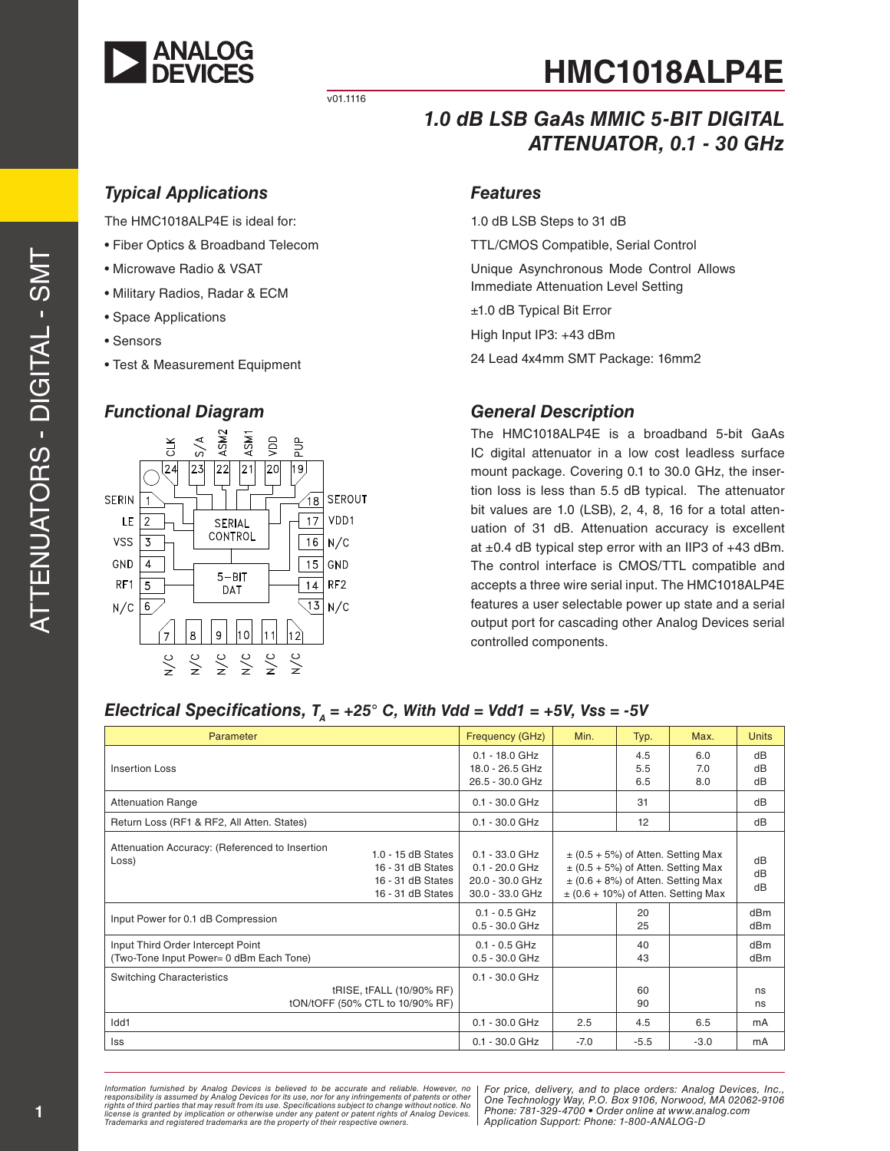

v01.1116

# **HMC1018ALP4E**

# *1.0 dB LSB GaAs MMIC 5-BIT DIGITAL ATTENUATOR, 0.1 - 30 GHz*

## *Typical Applications*

The HMC1018ALP4E is ideal for:

- Fiber Optics & Broadband Telecom
- Microwave Radio & VSAT
- Military Radios, Radar & ECM
- Space Applications
- Sensors
- Test & Measurement Equipment

#### *Functional Diagram*



#### *Features*

1.0 dB LSB Steps to 31 dB

TTL/CMOS Compatible, Serial Control

Unique Asynchronous Mode Control Allows Immediate Attenuation Level Setting

±1.0 dB Typical Bit Error

High Input IP3: +43 dBm

24 Lead 4x4mm SMT Package: 16mm2

#### *General Description*

The HMC1018ALP4E is a broadband 5-bit GaAs IC digital attenuator in a low cost leadless surface mount package. Covering 0.1 to 30.0 GHz, the insertion loss is less than 5.5 dB typical. The attenuator bit values are 1.0 (LSB), 2, 4, 8, 16 for a total attenuation of 31 dB. Attenuation accuracy is excellent at  $\pm 0.4$  dB typical step error with an IIP3 of  $+43$  dBm. The control interface is CMOS/TTL compatible and accepts a three wire serial input. The HMC1018ALP4E features a user selectable power up state and a serial output port for cascading other Analog Devices serial controlled components.

#### *Electrical Specifications,*  $T_A = +25^\circ$  *C, With Vdd = Vdd1 = +5V, Vss = -5V*

| Parameter                                                                    |                                                                                     | Frequency (GHz)                                                            | Min.   | Typ.              | Max.                                                                                                                                                                  | <b>Units</b>   |
|------------------------------------------------------------------------------|-------------------------------------------------------------------------------------|----------------------------------------------------------------------------|--------|-------------------|-----------------------------------------------------------------------------------------------------------------------------------------------------------------------|----------------|
| Insertion Loss                                                               |                                                                                     | $0.1 - 18.0$ GHz<br>18.0 - 26.5 GHz<br>26.5 - 30.0 GHz                     |        | 4.5<br>5.5<br>6.5 | 6.0<br>7.0<br>8.0                                                                                                                                                     | dB<br>dB<br>dB |
| <b>Attenuation Range</b>                                                     |                                                                                     | $0.1 - 30.0$ GHz                                                           |        | 31                |                                                                                                                                                                       | dB             |
| Return Loss (RF1 & RF2, All Atten. States)                                   |                                                                                     | $0.1 - 30.0$ GHz                                                           |        | 12                |                                                                                                                                                                       | dB             |
| Attenuation Accuracy: (Referenced to Insertion<br>Loss)                      | $1.0 - 15$ dB States<br>16 - 31 dB States<br>16 - 31 dB States<br>16 - 31 dB States | $0.1 - 33.0$ GHz<br>$0.1 - 20.0$ GHz<br>20.0 - 30.0 GHz<br>30.0 - 33.0 GHz |        |                   | $\pm$ (0.5 + 5%) of Atten. Setting Max<br>$\pm$ (0.5 + 5%) of Atten. Setting Max<br>$\pm$ (0.6 + 8%) of Atten. Setting Max<br>$\pm$ (0.6 + 10%) of Atten. Setting Max | dB<br>dB<br>dB |
| Input Power for 0.1 dB Compression                                           |                                                                                     | $0.1 - 0.5$ GHz<br>$0.5 - 30.0$ GHz                                        |        | 20<br>25          |                                                                                                                                                                       | dBm<br>dBm     |
| Input Third Order Intercept Point<br>(Two-Tone Input Power= 0 dBm Each Tone) |                                                                                     | $0.1 - 0.5$ GHz<br>$0.5 - 30.0$ GHz                                        |        | 40<br>43          |                                                                                                                                                                       | dBm<br>dBm     |
| <b>Switching Characteristics</b>                                             | tRISE, tFALL (10/90% RF)<br>tON/tOFF (50% CTL to 10/90% RF)                         | $0.1 - 30.0$ GHz                                                           |        | 60<br>90          |                                                                                                                                                                       | ns<br>ns       |
| Idd1                                                                         |                                                                                     | $0.1 - 30.0$ GHz                                                           | 2.5    | 4.5               | 6.5                                                                                                                                                                   | mA             |
| lss                                                                          |                                                                                     | $0.1 - 30.0$ GHz                                                           | $-7.0$ | $-5.5$            | $-3.0$                                                                                                                                                                | mA             |

Information furnished by Analog Devices is believed to be accurate and reliable. However, no<br>responsibility is assumed by Analog Devices for its use, nor for any infringements of patents or other<br>rights of third parties th license is granted by implication or otherwise under any patent or patent rights of Analog Devices.<br>Trademarks and registered trademarks are the property of their respective owners.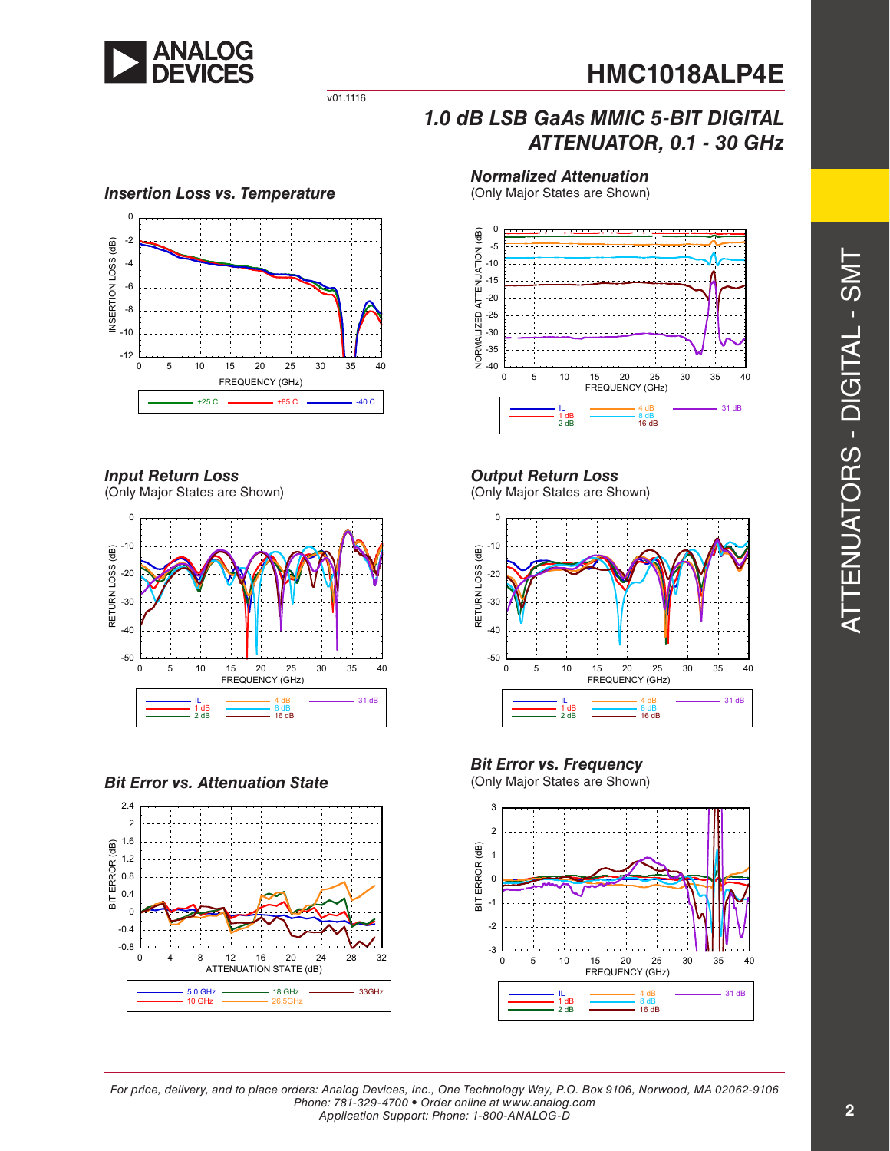

*ATTENUATOR, 0.1 - 30 GHz*

v01.1116

# *Insertion Loss vs. Temperature*



#### *Input Return Loss*

(Only Major States are Shown)



#### *Bit Error vs. Attenuation State*



# *Normalized Attenuation*

*1.0 dB LSB GaAs MMIC 5-BIT DIGITAL*

(Only Major States are Shown)



### *Output Return Loss*

(Only Major States are Shown)



# *Bit Error vs. Frequency*



ators - Digital -  $\mathcal{O}$  $\geq$ 

 $\vdash$ 

Attenu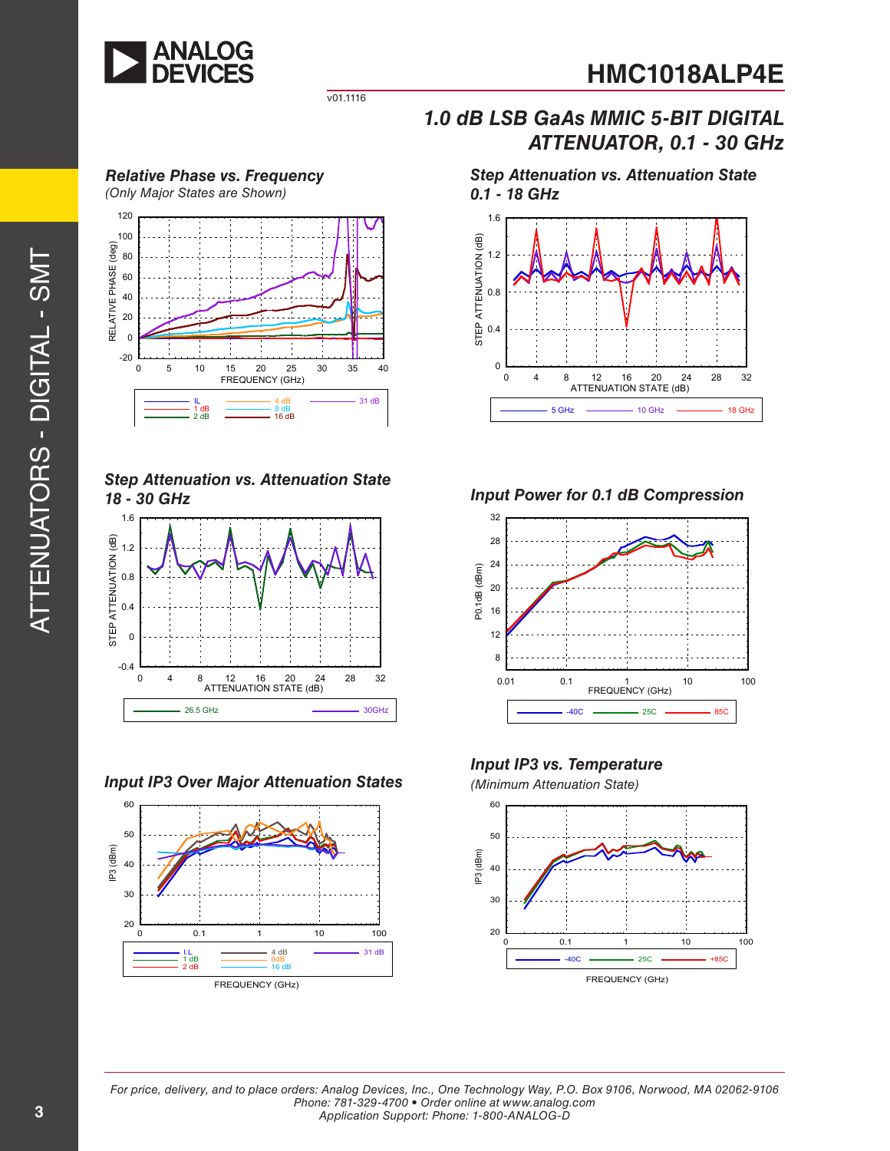

v01.1116

*Relative Phase vs. Frequency (Only Major States are Shown)*



*Step Attenuation vs. Attenuation State 18 - 30 GHz*



*Input IP3 Over Major Attenuation States (Minimum Attenuation State)*



*1.0 dB LSB GaAs MMIC 5-BIT DIGITAL ATTENUATOR, 0.1 - 30 GHz*

*Step Attenuation vs. Attenuation State 0.1 - 18 GHz*



*Input Power for 0.1 dB Compression*



*Input IP3 vs. Temperature*

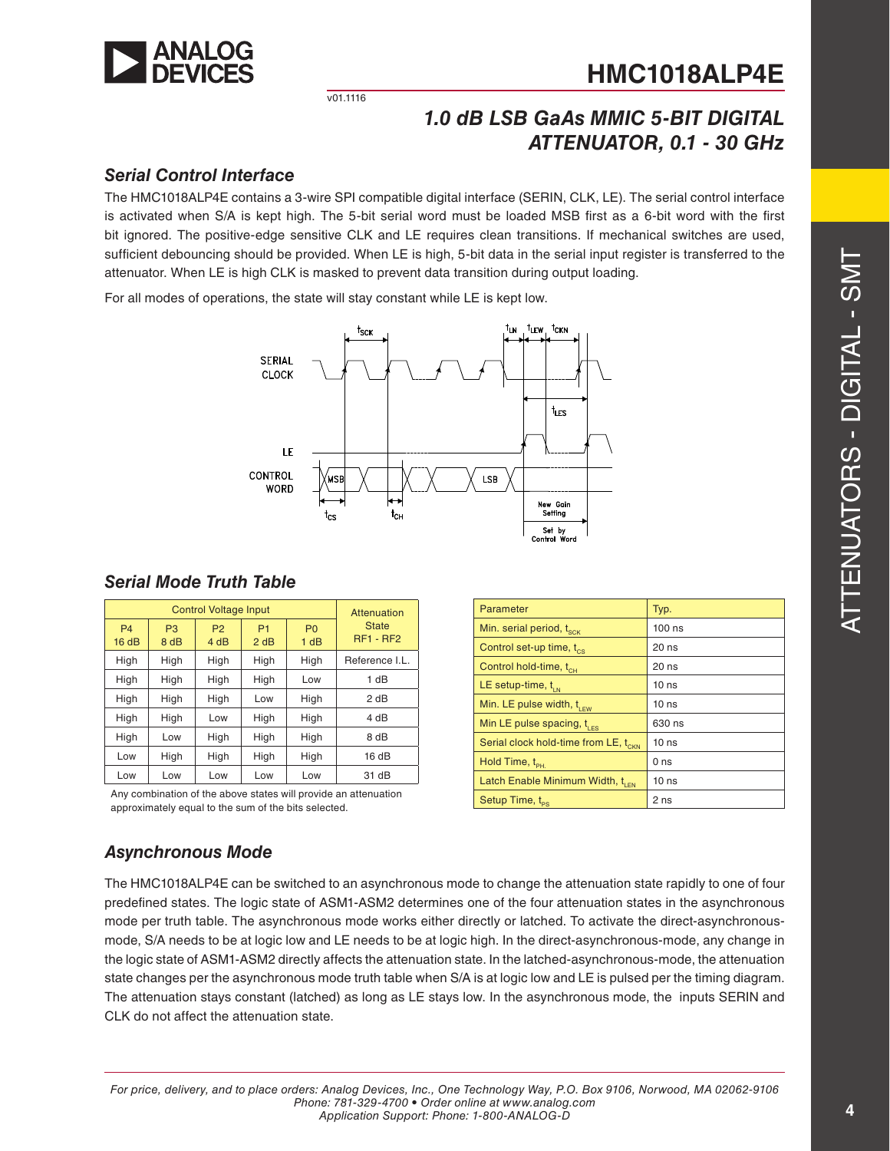

v01.1116

# *1.0 dB LSB GaAs MMIC 5-BIT DIGITAL ATTENUATOR, 0.1 - 30 GHz*

#### *Serial Control Interface*

The HMC1018ALP4E contains a 3-wire SPI compatible digital interface (SERIN, CLK, LE). The serial control interface is activated when S/A is kept high. The 5-bit serial word must be loaded MSB first as a 6-bit word with the first bit ignored. The positive-edge sensitive CLK and LE requires clean transitions. If mechanical switches are used, sufficient debouncing should be provided. When LE is high, 5-bit data in the serial input register is transferred to the attenuator. When LE is high CLK is masked to prevent data transition during output loading.

For all modes of operations, the state will stay constant while LE is kept low.



| <b>Control Voltage Input</b> |                        |                        |                        |                        | Attenuation                 |
|------------------------------|------------------------|------------------------|------------------------|------------------------|-----------------------------|
| <b>P4</b><br>16dB            | P <sub>3</sub><br>8 dB | P <sub>2</sub><br>4 dB | P <sub>1</sub><br>2 dB | P <sub>0</sub><br>1 dB | <b>State</b><br>$RF1 - RF2$ |
| High                         | High                   | High                   | High                   | High                   | Reference I.L.              |
| High                         | High                   | High                   | High                   | Low                    | 1 dB                        |
| High                         | High                   | High                   | Low                    | High                   | 2 dB                        |
| High                         | High                   | Low                    | High                   | High                   | 4 dB                        |
| High                         | Low                    | High                   | High                   | High                   | 8 dB                        |
| Low                          | High                   | High                   | High                   | High                   | 16dB                        |
| Low                          | Low                    | Low                    | Low                    | Low                    | 31 dB                       |

Any combination of the above states will provide an attenuation approximately equal to the sum of the bits selected.

| Parameter                                        | Typ.             |
|--------------------------------------------------|------------------|
| Min. serial period, t <sub>sck</sub>             | $100$ ns         |
| Control set-up time, t <sub>cs</sub>             | 20 ns            |
| Control hold-time, t <sub>ch</sub>               | $20$ ns          |
| LE setup-time, $t_{IN}$                          | 10 <sub>ns</sub> |
| Min. LE pulse width, $t_{\text{rev}}$            | 10 <sub>ns</sub> |
| Min LE pulse spacing, $t_{\text{LES}}$           | 630 ns           |
| Serial clock hold-time from LE, t <sub>CKN</sub> | 10 <sub>ns</sub> |
| Hold Time, t <sub>PH.</sub>                      | 0 ns             |
| Latch Enable Minimum Width, t <sub>LEN</sub>     | 10 <sub>ns</sub> |
| Setup Time, t <sub>ps</sub>                      | 2 ns             |

## *Asynchronous Mode*

*Serial Mode Truth Table*

The HMC1018ALP4E can be switched to an asynchronous mode to change the attenuation state rapidly to one of four predefined states. The logic state of ASM1-ASM2 determines one of the four attenuation states in the asynchronous mode per truth table. The asynchronous mode works either directly or latched. To activate the direct-asynchronousmode, S/A needs to be at logic low and LE needs to be at logic high. In the direct-asynchronous-mode, any change in the logic state of ASM1-ASM2 directly affects the attenuation state. In the latched-asynchronous-mode, the attenuation state changes per the asynchronous mode truth table when S/A is at logic low and LE is pulsed per the timing diagram. The attenuation stays constant (latched) as long as LE stays low. In the asynchronous mode, the inputs SERIN and CLK do not affect the attenuation state.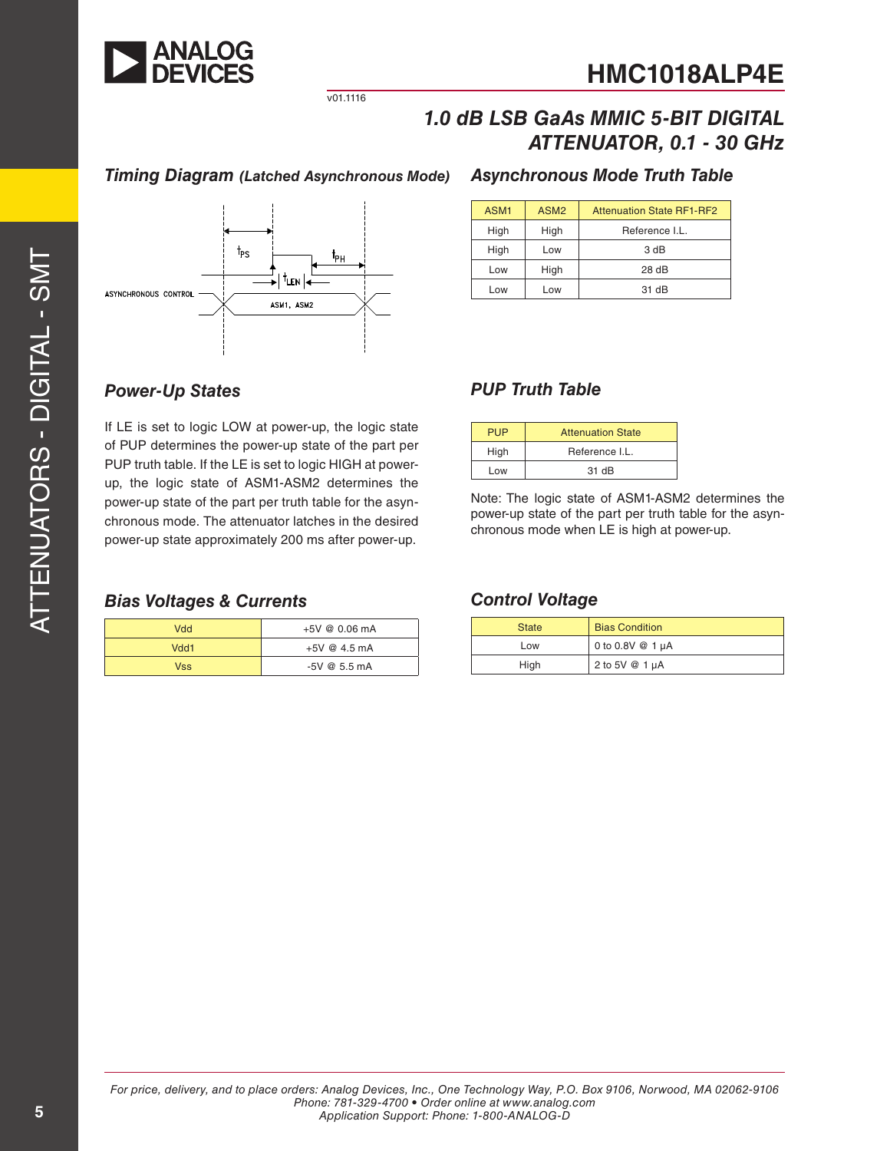

*ATTENUATOR, 0.1 - 30 GHz*

v01.1116

## *Timing Diagram (Latched Asynchronous Mode)*



### *Asynchronous Mode Truth Table*

*1.0 dB LSB GaAs MMIC 5-BIT DIGITAL*

| ASM <sub>1</sub> | ASM <sub>2</sub> | <b>Attenuation State RF1-RF2</b> |
|------------------|------------------|----------------------------------|
| High             | High             | Reference I.L.                   |
| High             | Low              | 3 dB                             |
| Low              | High             | 28dB                             |
| l ow             | -OW              | $31$ dB                          |

#### *Power-Up States PUP Truth Table*

If LE is set to logic LOW at power-up, the logic state of PUP determines the power-up state of the part per PUP truth table. If the LE is set to logic HIGH at powerup, the logic state of ASM1-ASM2 determines the power-up state of the part per truth table for the asynchronous mode. The attenuator latches in the desired power-up state approximately 200 ms after power-up.

#### *Bias Voltages & Currents Control Voltage*

| Vdd        | +5V @ 0.06 mA  |
|------------|----------------|
| Vdd1       | $+5V$ @ 4.5 mA |
| <b>Vss</b> | $-5V$ @ 5.5 mA |

| <b>PUP</b> | <b>Attenuation State</b> |  |  |
|------------|--------------------------|--|--|
| High       | Reference I.L.           |  |  |
| Low        | 31 dB                    |  |  |

Note: The logic state of ASM1-ASM2 determines the power-up state of the part per truth table for the asynchronous mode when LE is high at power-up.

| <b>State</b> | <b>Bias Condition</b> |
|--------------|-----------------------|
| Low          | 0 to 0.8V @ 1 µA      |
| High         | 2 to 5V @ 1 µA        |

 $\geq$  $\vdash$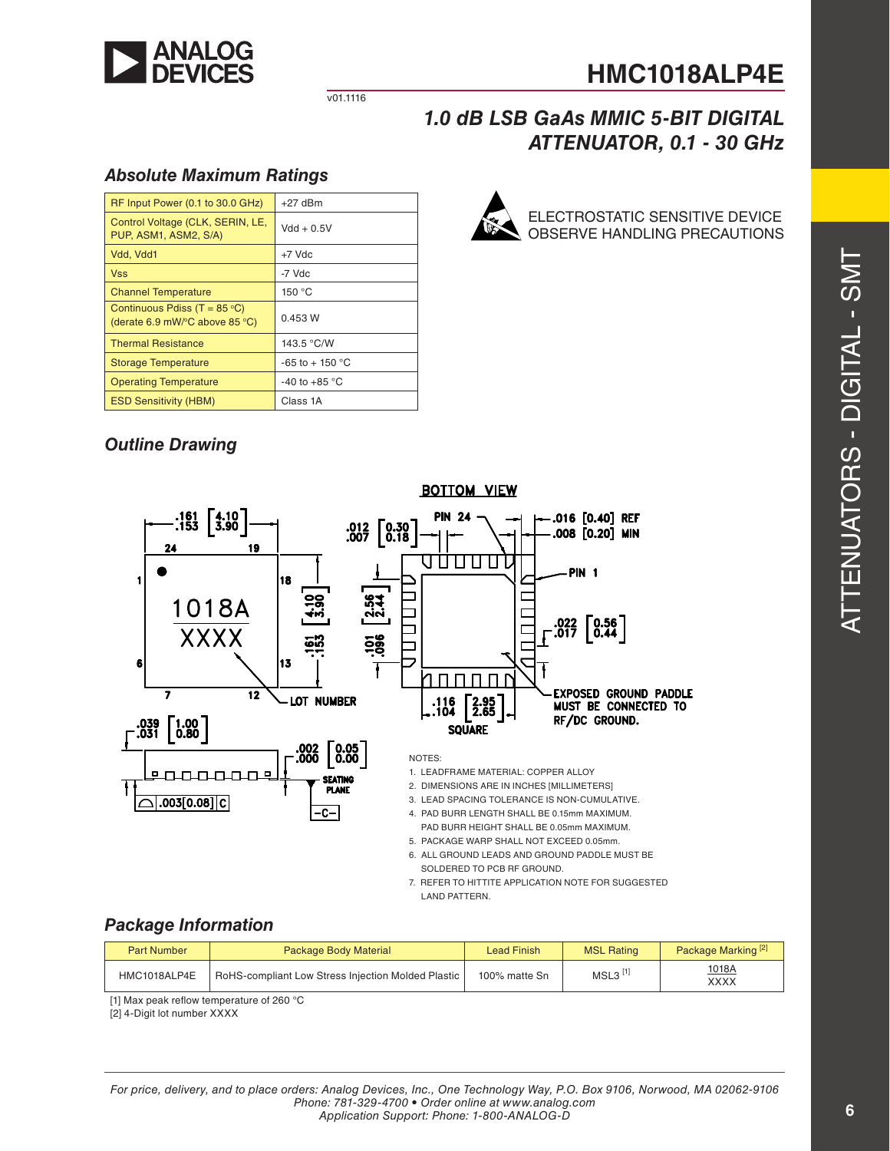

ELECTROSTATIC SENSITIVE DEVICE OBSERVE HANDLING PRECAUTIONS

v01.1116

## *1.0 dB LSB GaAs MMIC 5-BIT DIGITAL ATTENUATOR, 0.1 - 30 GHz*

#### *Absolute Maximum Ratings*

| RF Input Power (0.1 to 30.0 GHz)                                                           | $+27$ dBm               |
|--------------------------------------------------------------------------------------------|-------------------------|
| Control Voltage (CLK, SERIN, LE,<br>PUP, ASM1, ASM2, S/A)                                  | $Vdd + 0.5V$            |
| Vdd, Vdd1                                                                                  | $+7$ Vdc                |
| <b>Vss</b>                                                                                 | -7 Vdc                  |
| <b>Channel Temperature</b>                                                                 | 150 °C                  |
| Continuous Pdiss (T = $85^{\circ}$ C)<br>(derate 6.9 mW/ $\degree$ C above 85 $\degree$ C) | 0.453 W                 |
| <b>Thermal Resistance</b>                                                                  | 143.5 °C/W              |
| <b>Storage Temperature</b>                                                                 | $-65$ to $+150$ °C      |
| <b>Operating Temperature</b>                                                               | -40 to +85 $^{\circ}$ C |
| <b>ESD Sensitivity (HBM)</b>                                                               | Class 1A                |

## *Outline Drawing*



#### 6. ALL GROUND LEADS AND GROUND PADDLE MUST BE SOLDERED TO PCB RF GROUND.

7. REFER TO HITTITE APPLICATION NOTE FOR SUGGESTED LAND PATTERN.

#### *Package Information*

| <b>Part Number</b> | <b>Package Body Material</b>                       | <b>Lead Finish</b> | <b>MSL Rating</b>     | Package Marking <sup>[2]</sup> |
|--------------------|----------------------------------------------------|--------------------|-----------------------|--------------------------------|
| HMC1018ALP4E       | RoHS-compliant Low Stress Injection Molded Plastic | 100% matte Sn      | $MSL3$ <sup>[1]</sup> | 1018A<br><b>XXXX</b>           |

[1] Max peak reflow temperature of 260 °C

[2] 4-Digit lot number XXXX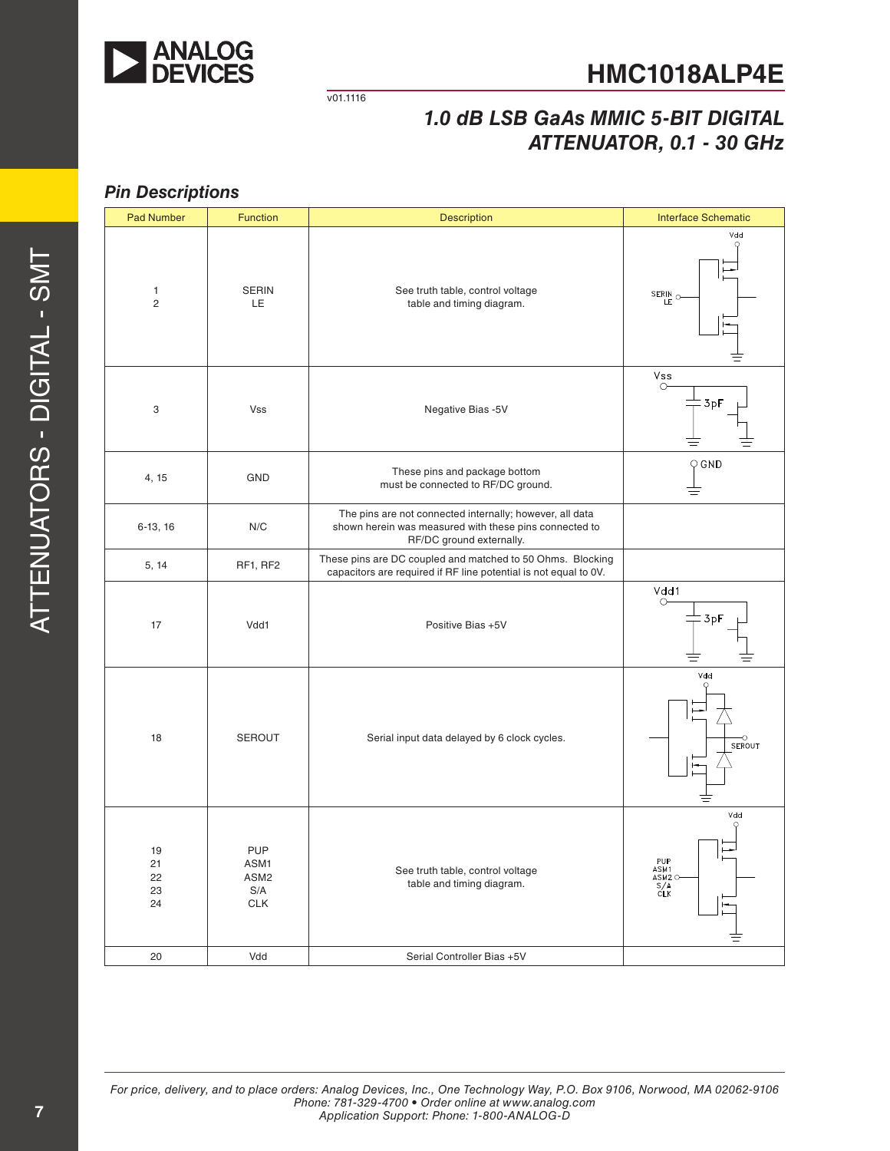

v01.1116

# *1.0 dB LSB GaAs MMIC 5-BIT DIGITAL ATTENUATOR, 0.1 - 30 GHz*

#### *Pin Descriptions*

| <b>Pad Number</b>              | <b>Function</b>                                             | <b>Description</b>                                                                                                                             | <b>Interface Schematic</b>                      |
|--------------------------------|-------------------------------------------------------------|------------------------------------------------------------------------------------------------------------------------------------------------|-------------------------------------------------|
| $\mathbf{1}$<br>$\overline{2}$ | <b>SERIN</b><br>LE.                                         | See truth table, control voltage<br>table and timing diagram.                                                                                  | Vdd<br>SERIN <sub>O</sub>                       |
| 3                              | Vss                                                         | Negative Bias -5V                                                                                                                              | Vss<br>$\circ$<br>: 3pF                         |
| 4, 15                          | GND                                                         | These pins and package bottom<br>must be connected to RF/DC ground.                                                                            | $\bigcirc$ GND                                  |
| $6-13, 16$                     | N/C                                                         | The pins are not connected internally; however, all data<br>shown herein was measured with these pins connected to<br>RF/DC ground externally. |                                                 |
| 5, 14                          | RF1, RF2                                                    | These pins are DC coupled and matched to 50 Ohms. Blocking<br>capacitors are required if RF line potential is not equal to 0V.                 |                                                 |
| 17                             | Vdd1                                                        | Positive Bias +5V                                                                                                                              | Vdd1<br>$\circ$<br>3p                           |
| 18                             | <b>SEROUT</b>                                               | Serial input data delayed by 6 clock cycles.                                                                                                   | Vdd<br>$\frac{1}{\sqrt{2}}$ SEROUT<br>≡         |
| 19<br>21<br>22<br>23<br>24     | <b>PUP</b><br>ASM1<br>ASM <sub>2</sub><br>S/A<br><b>CLK</b> | See truth table, control voltage<br>table and timing diagram.                                                                                  | Vdd<br>PUP<br>ASM1<br>ASM <sub>2</sub> O<br>SLK |
| 20                             | Vdd                                                         | Serial Controller Bias +5V                                                                                                                     |                                                 |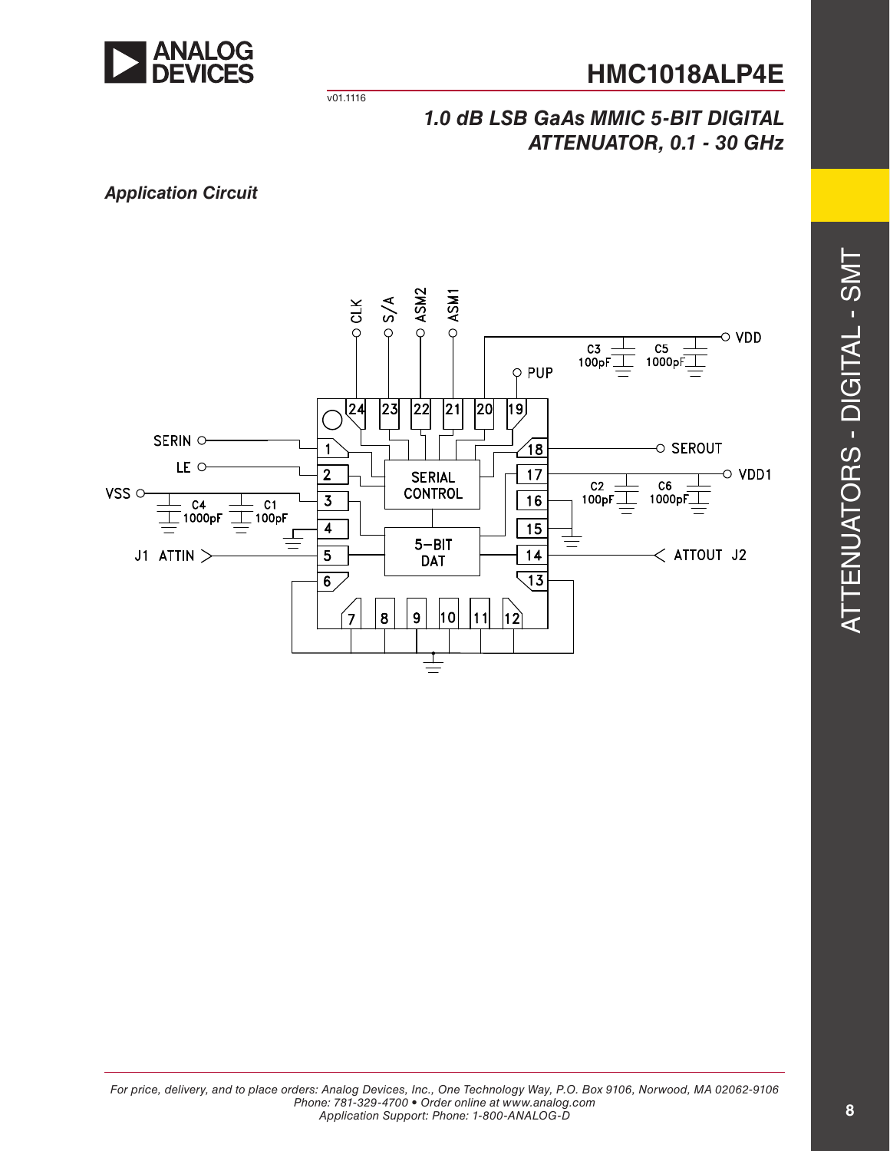

v01.1116

## *1.0 dB LSB GaAs MMIC 5-BIT DIGITAL ATTENUATOR, 0.1 - 30 GHz*

*Application Circuit*

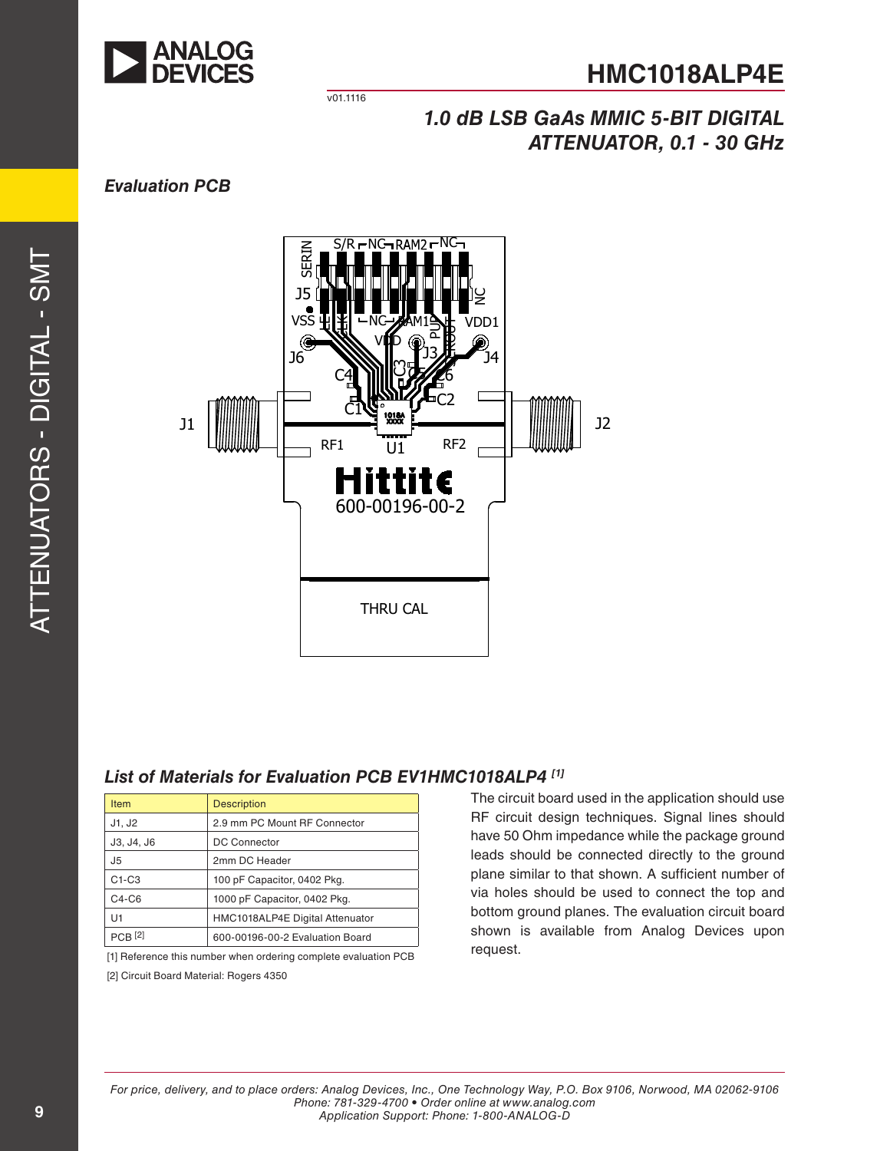

v01.1116

# *1.0 dB LSB GaAs MMIC 5-BIT DIGITAL ATTENUATOR, 0.1 - 30 GHz*

## *Evaluation PCB*



## *List of Materials for Evaluation PCB EV1HMC1018ALP4 [1]*

| <b>Item</b>        | <b>Description</b>              |
|--------------------|---------------------------------|
| J1, J2             | 2.9 mm PC Mount RF Connector    |
| J3, J4, J6         | <b>DC Connector</b>             |
| J5                 | 2mm DC Header                   |
| $C1-C3$            | 100 pF Capacitor, 0402 Pkg.     |
| $C4-C6$            | 1000 pF Capacitor, 0402 Pkg.    |
| U1                 | HMC1018ALP4E Digital Attenuator |
| PCB <sup>[2]</sup> | 600-00196-00-2 Evaluation Board |

[1] Reference this number when ordering complete evaluation PCB [2] Circuit Board Material: Rogers 4350

The circuit board used in the application should use RF circuit design techniques. Signal lines should have 50 Ohm impedance while the package ground leads should be connected directly to the ground plane similar to that shown. A sufficient number of via holes should be used to connect the top and bottom ground planes. The evaluation circuit board shown is available from Analog Devices upon request.